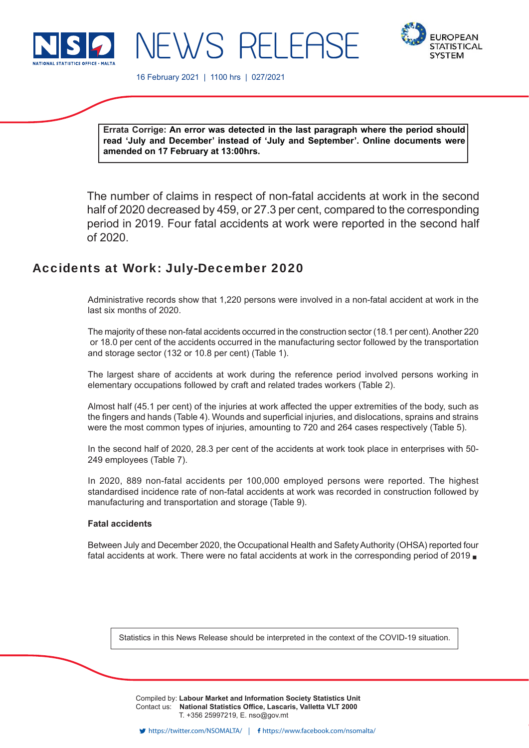



16 February 2021 | 1100 hrs | 027/2021

JEWS RELEE

**Errata Corrige: An error was detected in the last paragraph where the period should read 'July and December' instead of 'July and September'. Online documents were amended on 17 February at 13:00hrs.**

The number of claims in respect of non-fatal accidents at work in the second half of 2020 decreased by 459, or 27.3 per cent, compared to the corresponding period in 2019. Four fatal accidents at work were reported in the second half of 2020.

# Accidents at Work: July-December 2020

Administrative records show that 1,220 persons were involved in a non-fatal accident at work in the last six months of 2020.

The majority of these non-fatal accidents occurred in the construction sector (18.1 per cent). Another 220 or 18.0 per cent of the accidents occurred in the manufacturing sector followed by the transportation and storage sector (132 or 10.8 per cent) (Table 1).

The largest share of accidents at work during the reference period involved persons working in elementary occupations followed by craft and related trades workers (Table 2).

Almost half (45.1 per cent) of the injuries at work affected the upper extremities of the body, such as the fingers and hands (Table 4). Wounds and superficial injuries, and dislocations, sprains and strains were the most common types of injuries, amounting to 720 and 264 cases respectively (Table 5).

In the second half of 2020, 28.3 per cent of the accidents at work took place in enterprises with 50- 249 employees (Table 7).

In 2020, 889 non-fatal accidents per 100,000 employed persons were reported. The highest standardised incidence rate of non-fatal accidents at work was recorded in construction followed by manufacturing and transportation and storage (Table 9).

# **Fatal accidents**

Between July and December 2020, the Occupational Health and Safety Authority (OHSA) reported four fatal accidents at work. There were no fatal accidents at work in the corresponding period of 2019

Statistics in this News Release should be interpreted in the context of the COVID-19 situation.

Compiled by: **Labour Market and Information Society Statistics Unit** Contact us: National Statistics Office, Lascaris, Valletta VLT 2000 T. +356 25997219, E. nso@gov.mt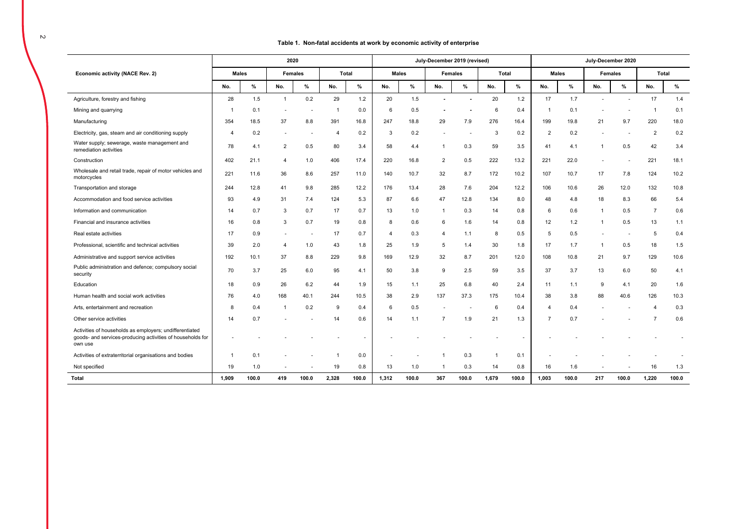### **Table 1. Non-fatal accidents at work by economic activity of enterprise**

|                                                                                                                                  |              |       |                | 2020           |                |              |       |              | July-December 2019 (revised) |                          |       |              |                |              |                | July-December 2020 |                |              |
|----------------------------------------------------------------------------------------------------------------------------------|--------------|-------|----------------|----------------|----------------|--------------|-------|--------------|------------------------------|--------------------------|-------|--------------|----------------|--------------|----------------|--------------------|----------------|--------------|
| Economic activity (NACE Rev. 2)                                                                                                  | <b>Males</b> |       |                | <b>Females</b> |                | <b>Total</b> |       | <b>Males</b> |                              | <b>Females</b>           |       | <b>Total</b> |                | <b>Males</b> |                | Females            |                | <b>Total</b> |
|                                                                                                                                  | No.          | %     | No.            | %              | No.            | %            | No.   | %            | No.                          | %                        | No.   | $\%$         | No.            | $\%$         | No.            | %                  | No.            | $\%$         |
| Agriculture, forestry and fishing                                                                                                | 28           | 1.5   | $\overline{1}$ | 0.2            | 29             | 1.2          | 20    | 1.5          | $\qquad \qquad \blacksquare$ |                          | 20    | 1.2          | 17             | 1.7          | $\overline{a}$ |                    | 17             | 1.4          |
| Mining and quarrying                                                                                                             | $\mathbf 1$  | 0.1   |                |                | $\overline{1}$ | 0.0          | 6     | 0.5          |                              |                          | -6    | 0.4          | -1             | 0.1          |                |                    | $\overline{1}$ | 0.1          |
| Manufacturing                                                                                                                    | 354          | 18.5  | 37             | 8.8            | 391            | 16.8         | 247   | 18.8         | 29                           | 7.9                      | 276   | 16.4         | 199            | 19.8         | 21             | 9.7                | 220            | 18.0         |
| Electricity, gas, steam and air conditioning supply                                                                              | 4            | 0.2   | ٠              |                | $\overline{4}$ | 0.2          | 3     | 0.2          |                              | $\overline{\phantom{a}}$ | 3     | 0.2          | $\overline{2}$ | 0.2          |                |                    | $\overline{2}$ | 0.2          |
| Water supply; sewerage, waste management and<br>remediation activities                                                           | 78           | 4.1   | $\overline{2}$ | 0.5            | 80             | 3.4          | 58    | 4.4          | $\overline{1}$               | 0.3                      | 59    | 3.5          | 41             | 4.1          |                | 0.5                | 42             | 3.4          |
| Construction                                                                                                                     | 402          | 21.1  | 4              | 1.0            | 406            | 17.4         | 220   | 16.8         | 2                            | 0.5                      | 222   | 13.2         | 221            | 22.0         | ٠              |                    | 221            | 18.1         |
| Wholesale and retail trade, repair of motor vehicles and<br>motorcycles                                                          | 221          | 11.6  | 36             | 8.6            | 257            | 11.0         | 140   | 10.7         | 32                           | 8.7                      | 172   | 10.2         | 107            | 10.7         | 17             | 7.8                | 124            | 10.2         |
| Transportation and storage                                                                                                       | 244          | 12.8  | 41             | 9.8            | 285            | 12.2         | 176   | 13.4         | 28                           | 7.6                      | 204   | 12.2         | 106            | 10.6         | 26             | 12.0               | 132            | 10.8         |
| Accommodation and food service activities                                                                                        | 93           | 4.9   | 31             | 7.4            | 124            | 5.3          | 87    | 6.6          | 47                           | 12.8                     | 134   | 8.0          | 48             | 4.8          | 18             | 8.3                | 66             | 5.4          |
| Information and communication                                                                                                    | 14           | 0.7   | 3              | 0.7            | 17             | 0.7          | 13    | 1.0          | $\mathbf{1}$                 | 0.3                      | 14    | 0.8          | 6              | 0.6          | $\mathbf{1}$   | 0.5                | $\overline{7}$ | 0.6          |
| Financial and insurance activities                                                                                               | 16           | 0.8   | 3              | 0.7            | 19             | 0.8          | 8     | 0.6          | 6                            | 1.6                      | 14    | 0.8          | 12             | 1.2          | $\mathbf{1}$   | 0.5                | 13             | 1.1          |
| Real estate activities                                                                                                           | 17           | 0.9   | $\sim$         |                | 17             | 0.7          | 4     | 0.3          | $\overline{A}$               | 1.1                      | 8     | 0.5          | 5              | 0.5          | ٠              |                    | 5              | 0.4          |
| Professional, scientific and technical activities                                                                                | 39           | 2.0   | $\overline{4}$ | 1.0            | 43             | 1.8          | 25    | 1.9          | -5                           | 1.4                      | 30    | 1.8          | 17             | 1.7          | $\mathbf{1}$   | 0.5                | 18             | 1.5          |
| Administrative and support service activities                                                                                    | 192          | 10.1  | 37             | 8.8            | 229            | 9.8          | 169   | 12.9         | 32                           | 8.7                      | 201   | 12.0         | 108            | 10.8         | 21             | 9.7                | 129            | 10.6         |
| Public administration and defence; compulsory social<br>security                                                                 | 70           | 3.7   | 25             | 6.0            | 95             | 4.1          | 50    | 3.8          | 9                            | 2.5                      | 59    | 3.5          | 37             | 3.7          | 13             | 6.0                | 50             | 4.1          |
| Education                                                                                                                        | 18           | 0.9   | 26             | 6.2            | 44             | 1.9          | 15    | 1.1          | 25                           | 6.8                      | 40    | 2.4          | 11             | 1.1          | 9              | 4.1                | 20             | 1.6          |
| Human health and social work activities                                                                                          | 76           | 4.0   | 168            | 40.1           | 244            | 10.5         | 38    | 2.9          | 137                          | 37.3                     | 175   | 10.4         | 38             | 3.8          | 88             | 40.6               | 126            | 10.3         |
| Arts, entertainment and recreation                                                                                               | 8            | 0.4   | $\overline{1}$ | 0.2            | 9              | 0.4          | 6     | 0.5          |                              |                          | 6     | 0.4          | $\overline{4}$ | 0.4          |                |                    | $\overline{4}$ | 0.3          |
| Other service activities                                                                                                         | 14           | 0.7   |                |                | 14             | 0.6          | 14    | 1.1          |                              | 1.9                      | 21    | 1.3          | $\overline{7}$ | 0.7          |                |                    | $\overline{7}$ | 0.6          |
| Activities of households as employers; undifferentiated<br>goods- and services-producing activities of households for<br>own use |              |       |                |                |                |              |       |              |                              |                          |       |              |                |              |                |                    |                |              |
| Activities of extraterritorial organisations and bodies                                                                          | -1           | 0.1   |                |                |                | 0.0          |       |              |                              | 0.3                      |       | 0.1          |                |              |                |                    |                |              |
| Not specified                                                                                                                    | 19           | 1.0   |                |                | 19             | 0.8          | 13    | 1.0          |                              | 0.3                      | 14    | 0.8          | 16             | 1.6          |                |                    | 16             | 1.3          |
| Total                                                                                                                            | 1,909        | 100.0 | 419            | 100.0          | 2,328          | 100.0        | 1,312 | 100.0        | 367                          | 100.0                    | 1,679 | 100.0        | 1,003          | 100.0        | 217            | 100.0              | 1,220          | 100.0        |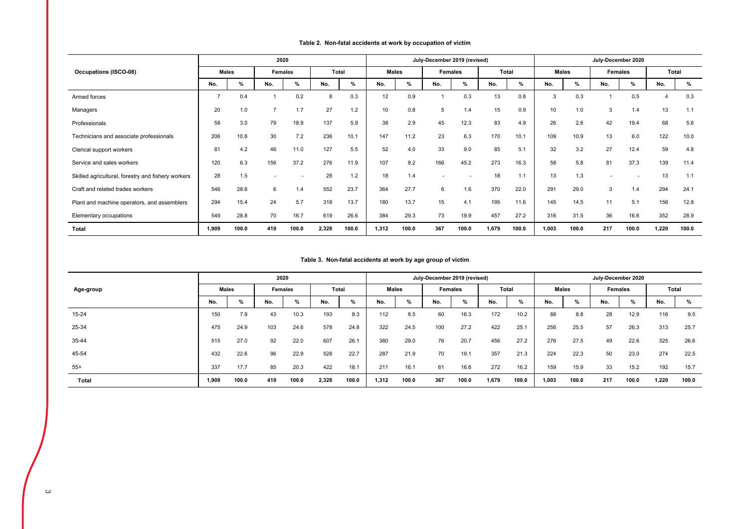### **Table 2. Non-fatal accidents at work by occupation of victim**

|                                                    |              |       | 2020    |       |       |       |       |       | July-December 2019 (revised) |       |       |       |       |       | July-December 2020 |       |                |       |
|----------------------------------------------------|--------------|-------|---------|-------|-------|-------|-------|-------|------------------------------|-------|-------|-------|-------|-------|--------------------|-------|----------------|-------|
| <b>Occupations (ISCO-08)</b>                       | <b>Males</b> |       | Females |       | Total |       | Males |       | <b>Females</b>               |       | Total |       | Males |       | <b>Females</b>     |       | Total          |       |
|                                                    | No.          | %     | No.     | %     | No.   | %     | No.   | %     | No.                          | %     | No.   | %     | No.   | %     | No.                | %     | No.            | %     |
| Armed forces                                       |              | 0.4   |         | 0.2   | 8     | 0.3   | 12    | 0.9   |                              | 0.3   | 13    | 0.8   | 3     | 0.3   |                    | 0.5   | $\overline{4}$ | 0.3   |
| Managers                                           | 20           | 1.0   |         | 1.7   | 27    | 1.2   | 10    | 0.8   | 5                            | 1.4   | 15    | 0.9   | 10    | 1.0   | 3                  | 1.4   | 13             | 1.1   |
| Professionals                                      | 58           | 3.0   | 79      | 18.9  | 137   | 5.9   | 38    | 2.9   | 45                           | 12.3  | 83    | 4.9   | 26    | 2.6   | 42                 | 19.4  | 68             | 5.6   |
| Technicians and associate professionals            | 206          | 10.8  | 30      | 7.2   | 236   | 10.1  | 147   | 11.2  | 23                           | 6.3   | 170   | 10.1  | 109   | 10.9  | 13                 | 6.0   | 122            | 10.0  |
| Clerical support workers                           | 81           | 4.2   | 46      | 11.0  | 127   | 5.5   | 52    | 4.0   | 33                           | 9.0   | 85    | 5.1   | 32    | 3.2   | 27                 | 12.4  | 59             | 4.8   |
| Service and sales workers                          | 120          | 6.3   | 156     | 37.2  | 276   | 11.9  | 107   | 8.2   | 166                          | 45.2  | 273   | 16.3  | 58    | 5.8   | 81                 | 37.3  | 139            | 11.4  |
| Skilled agricultural, forestry and fishery workers | 28           | 1.5   |         |       | 28    | 1.2   | 18    | 1.4   |                              |       | 18    | 1.1   | 13    | 1.3   |                    |       | 13             | 1.1   |
| Craft and related trades workers                   | 546          | 28.6  | 6       | 1.4   | 552   | 23.7  | 364   | 27.7  | 6                            | 1.6   | 370   | 22.0  | 291   | 29.0  | 3                  | 1.4   | 294            | 24.1  |
| Plant and machine operators, and assemblers        | 294          | 15.4  | 24      | 5.7   | 318   | 13.7  | 180   | 13.7  | 15                           | 4.1   | 195   | 11.6  | 145   | 14.5  | 11                 | 5.1   | 156            | 12.8  |
| Elementary occupations                             | 549          | 28.8  | 70      | 16.7  | 619   | 26.6  | 384   | 29.3  | 73                           | 19.9  | 457   | 27.2  | 316   | 31.5  | 36                 | 16.6  | 352            | 28.9  |
| <b>Total</b>                                       | 1.909        | 100.0 | 419     | 100.0 | 2,328 | 100.0 | 1,312 | 100.0 | 367                          | 100.0 | 1,679 | 100.0 | 1,003 | 100.0 | 217                | 100.0 | 1,220          | 100.0 |

### **Table 3. Non-fatal accidents at work by age group of victim**

|           |              |       | 2020           |       |       |       |       |       | July-December 2019 (revised) |       |       |       |       |       | July-December 2020 |                |       |       |
|-----------|--------------|-------|----------------|-------|-------|-------|-------|-------|------------------------------|-------|-------|-------|-------|-------|--------------------|----------------|-------|-------|
| Age-group | <b>Males</b> |       | <b>Females</b> |       | Total |       |       | Males | <b>Females</b>               |       | Total |       |       | Males |                    | <b>Females</b> | Total |       |
|           | No.          | %     | No.            | %     | No.   | %     | No.   | %     | No.                          | %     | No.   | %     | No.   | %     | No.                | %              | No.   | %     |
| 15-24     | 150          | 7.9   | 43             | 10.3  | 193   | 8.3   | 112   | 8.5   | 60                           | 16.3  | 172   | 10.2  | 88    | 8.8   | 28                 | 12.9           | 116   | 9.5   |
| 25-34     | 475          | 24.9  | 103            | 24.6  | 578   | 24.8  | 322   | 24.5  | 100                          | 27.2  | 422   | 25.1  | 256   | 25.5  | 57                 | 26.3           | 313   | 25.7  |
| 35-44     | 515          | 27.0  | 92             | 22.0  | 607   | 26.1  | 380   | 29.0  | 76                           | 20.7  | 456   | 27.2  | 276   | 27.5  | 49                 | 22.6           | 325   | 26.6  |
| 45-54     | 432          | 22.6  | 96             | 22.9  | 528   | 22.7  | 287   | 21.9  | 70                           | 19.1  | 357   | 21.3  | 224   | 22.3  | 50                 | 23.0           | 274   | 22.5  |
| $55+$     | 337          | 17.7  | 85             | 20.3  | 422   | 18.1  | 211   | 16.1  | 61                           | 16.6  | 272   | 16.2  | 159   | 15.9  | 33                 | 15.2           | 192   | 15.7  |
| Total     | 1,909        | 100.0 | 419            | 100.0 | 2,328 | 100.0 | 1,312 | 100.0 | 367                          | 100.0 | 1,679 | 100.0 | 1,003 | 100.0 | 217                | 100.0          | 1,220 | 100.0 |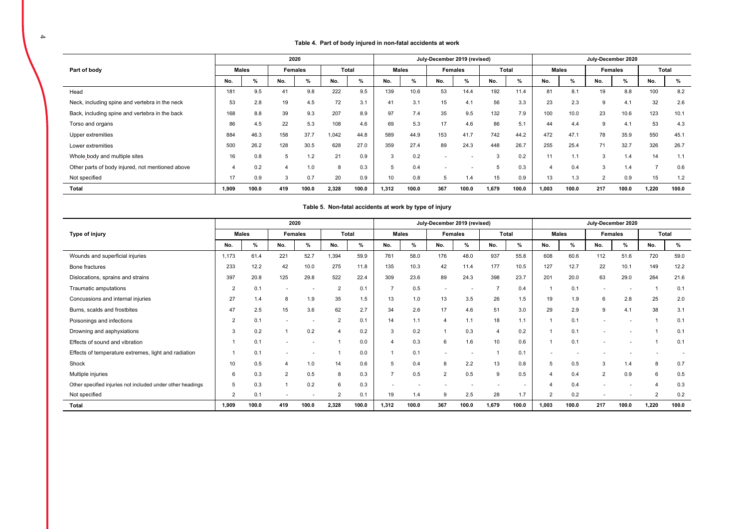### **Table 4. Part of body injured in non-fatal accidents at work**

|                                                  |                |              |     | 2020    |       |       |       |              |                          | July-December 2019 (revised) |       |       |                |              |                | July-December 2020 |                |       |
|--------------------------------------------------|----------------|--------------|-----|---------|-------|-------|-------|--------------|--------------------------|------------------------------|-------|-------|----------------|--------------|----------------|--------------------|----------------|-------|
| Part of body                                     |                | <b>Males</b> |     | Females |       | Total |       | <b>Males</b> |                          | Females                      |       | Total |                | <b>Males</b> |                | <b>Females</b>     |                | Total |
|                                                  | No.            | %            | No. | %       | No.   | %     | No.   | %            | No.                      | %                            | No.   | %     | No.            | %            | No.            | %                  | No.            | $\%$  |
| Head                                             | 181            | 9.5          | 41  | 9.8     | 222   | 9.5   | 139   | 10.6         | 53                       | 14.4                         | 192   | 11.4  | 81             | 8.1          | 19             | 8.8                | 100            | 8.2   |
| Neck, including spine and vertebra in the neck   | 53             | 2.8          | 19  | 4.5     | 72    | 3.1   | 41    | 3.1          | 15                       | 4.1                          | 56    | 3.3   | 23             | 2.3          | 9              | 4.1                | 32             | 2.6   |
| Back, including spine and vertebra in the back   | 168            | 8.8          | 39  | 9.3     | 207   | 8.9   | 97    | 7.4          | 35                       | 9.5                          | 132   | 7.9   | 100            | 10.0         | 23             | 10.6               | 123            | 10.1  |
| Torso and organs                                 | 86             | 4.5          | 22  | 5.3     | 108   | 4.6   | 69    | 5.3          | 17                       | 4.6                          | 86    | 5.1   | 44             | 4.4          | 9              | 4.1                | 53             | 4.3   |
| Upper extremities                                | 884            | 46.3         | 158 | 37.7    | 1,042 | 44.8  | 589   | 44.9         | 153                      | 41.7                         | 742   | 44.2  | 472            | 47.1         | 78             | 35.9               | 550            | 45.1  |
| Lower extremities                                | 500            | 26.2         | 128 | 30.5    | 628   | 27.0  | 359   | 27.4         | 89                       | 24.3                         | 448   | 26.7  | 255            | 25.4         | 71             | 32.7               | 326            | 26.7  |
| Whole body and multiple sites                    | 16             | 0.8          | 5   | 1.2     | 21    | 0.9   | 3     | 0.2          |                          |                              |       | 0.2   | 11             | 1.1          | 3              | 1.4                | 14             | 1.1   |
| Other parts of body injured, not mentioned above | $\overline{4}$ | 0.2          | 4   | 1.0     | 8     | 0.3   | 5     | 0.4          | $\overline{\phantom{a}}$ |                              | b     | 0.3   | $\overline{4}$ | 0.4          | 3              | 1.4                | $\overline{ }$ | 0.6   |
| Not specified                                    | 17             | 0.9          | 3   | 0.7     | 20    | 0.9   | 10    | 0.8          | b                        | 1.4                          | 15    | 0.9   | 13             | 1.3          | $\overline{2}$ | 0.9                | 15             | 1.2   |
| Total                                            | 1.909          | 100.0        | 419 | 100.0   | 2,328 | 100.0 | 1,312 | 100.0        | 367                      | 100.0                        | 1,679 | 100.0 | 1,003          | 100.0        | 217            | 100.0              | 1,220          | 100.0 |

|                                                            |                |              |                |         |                |              |       |              | ~; .;p ~ ~.;  ; |                              |       |       |                |              |                          |         |                |       |
|------------------------------------------------------------|----------------|--------------|----------------|---------|----------------|--------------|-------|--------------|-----------------|------------------------------|-------|-------|----------------|--------------|--------------------------|---------|----------------|-------|
|                                                            |                |              | 2020           |         |                |              |       |              |                 | July-December 2019 (revised) |       |       |                |              | July-December 2020       |         |                |       |
| Type of injury                                             |                | <b>Males</b> |                | Females |                | <b>Total</b> |       | <b>Males</b> |                 | <b>Females</b>               | Total |       |                | <b>Males</b> |                          | Females |                | Total |
|                                                            | No.            | %            | No.            | %       | No.            | %            | No.   | %            | No.             | %                            | No.   | %     | No.            | %            | No.                      | %       | No.            | %     |
| Wounds and superficial injuries                            | 1,173          | 61.4         | 221            | 52.7    | 1,394          | 59.9         | 761   | 58.0         | 176             | 48.0                         | 937   | 55.8  | 608            | 60.6         | 112                      | 51.6    | 720            | 59.0  |
| Bone fractures                                             | 233            | 12.2         | 42             | 10.0    | 275            | 11.8         | 135   | 10.3         | 42              | 11.4                         | 177   | 10.5  | 127            | 12.7         | 22                       | 10.1    | 149            | 12.2  |
| Dislocations, sprains and strains                          | 397            | 20.8         | 125            | 29.8    | 522            | 22.4         | 309   | 23.6         | 89              | 24.3                         | 398   | 23.7  | 201            | 20.0         | 63                       | 29.0    | 264            | 21.6  |
| Traumatic amputations                                      | $\overline{2}$ | 0.1          |                |         | $\overline{2}$ | 0.1          |       | 0.5          |                 |                              |       | 0.4   |                | 0.1          | ٠                        |         | -1             | 0.1   |
| Concussions and internal injuries                          | 27             | 1.4          | 8              | 1.9     | 35             | 1.5          | 13    | $1.0$        | 13              | 3.5                          | 26    | 1.5   | 19             | 1.9          | 6                        | 2.8     | 25             | 2.0   |
| Burns, scalds and frostbites                               | 47             | 2.5          | 15             | 3.6     | 62             | 2.7          | 34    | 2.6          | 17              | 4.6                          | 51    | 3.0   | 29             | 2.9          | 9                        | 4.1     | 38             | 3.1   |
| Poisonings and infections                                  | $\overline{2}$ | 0.1          |                |         | $\overline{2}$ | 0.1          | 14    | 1.1          | $\overline{4}$  | 1.1                          | 18    | 1.1   |                | 0.1          |                          |         |                | 0.1   |
| Drowning and asphyxiations                                 | 3              | 0.2          |                | 0.2     |                | 0.2          | 3     | 0.2          |                 | 0.3                          |       | 0.2   |                | 0.1          | $\overline{\phantom{a}}$ |         |                | 0.1   |
| Effects of sound and vibration                             |                | 0.1          |                |         |                | 0.0          |       | 0.3          | 6               | 1.6                          | 10    | 0.6   |                | 0.1          |                          |         |                | 0.1   |
| Effects of temperature extremes, light and radiation       |                | 0.1          |                |         |                | 0.0          |       | 0.1          |                 |                              |       | 0.1   |                |              |                          |         |                |       |
| Shock                                                      | 10             | 0.5          |                | 1.0     | 14             | 0.6          | 5     | 0.4          | 8               | 2.2                          | 13    | 0.8   | 5              | 0.5          | 3                        | 1.4     | 8              | 0.7   |
| Multiple injuries                                          | 6              | 0.3          | $\overline{2}$ | 0.5     |                | 0.3          |       | 0.5          | $\overline{2}$  | 0.5                          | 9     | 0.5   |                | 0.4          | $\overline{2}$           | 0.9     | 6              | 0.5   |
| Other specified injuries not included under other headings | 5              | 0.3          |                | 0.2     | 6              | 0.3          | ۰     |              |                 |                              |       | ٠.    |                | 0.4          |                          |         |                | 0.3   |
| Not specified                                              | $\overline{2}$ | 0.1          |                |         | $\overline{2}$ | 0.1          | 19    | 1.4          | <sub>9</sub>    | 2.5                          | 28    | 1.7   | $\overline{2}$ | 0.2          | ٠                        |         | $\overline{2}$ | 0.2   |
| Total                                                      | 1,909          | 100.0        | 419            | 100.0   | 2,328          | 100.0        | 1,312 | 100.0        | 367             | 100.0                        | 1,679 | 100.0 | 1,003          | 100.0        | 217                      | 100.0   | 1,220          | 100.0 |

**Table 5. Non-fatal accidents at work by type of injury**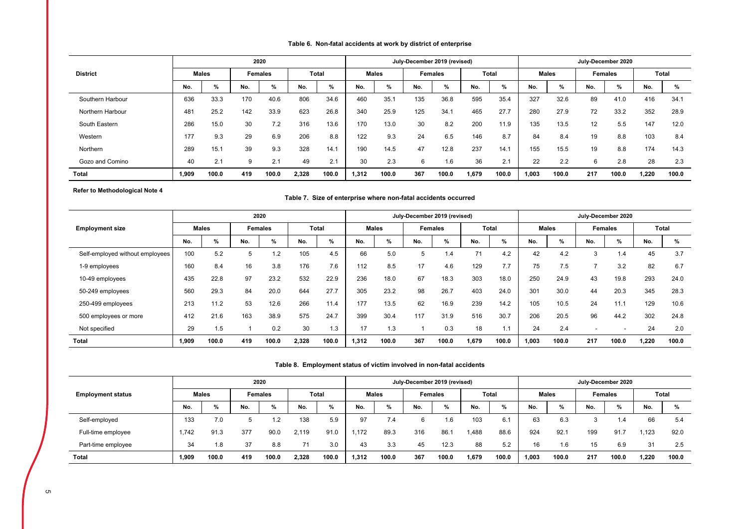# **Table 6. Non-fatal accidents at work by district of enterprise**

|                  |       |              |     | 2020           |       |              |       |              |     | July-December 2019 (revised) |       |              |       |              |                   | July-December 2020 |       |       |
|------------------|-------|--------------|-----|----------------|-------|--------------|-------|--------------|-----|------------------------------|-------|--------------|-------|--------------|-------------------|--------------------|-------|-------|
| <b>District</b>  |       | <b>Males</b> |     | <b>Females</b> |       | <b>Total</b> |       | <b>Males</b> |     | <b>Females</b>               |       | <b>Total</b> |       | <b>Males</b> |                   | <b>Females</b>     |       | Total |
|                  | No.   | $\%$         | No. | %              | No.   | %            | No.   | %            | No. | %                            | No.   | %            | No.   | %            | No.               | %                  | No.   | %     |
| Southern Harbour | 636   | 33.3         | 170 | 40.6           | 806   | 34.6         | 460   | 35.1         | 135 | 36.8                         | 595   | 35.4         | 327   | 32.6         | 89                | 41.0               | 416   | 34.1  |
| Northern Harbour | 481   | 25.2         | 142 | 33.9           | 623   | 26.8         | 340   | 25.9         | 125 | 34.1                         | 465   | 27.7         | 280   | 27.9         | 72                | 33.2               | 352   | 28.9  |
| South Eastern    | 286   | 15.0         | 30  | 7.2            | 316   | 13.6         | 170   | 13.0         | 30  | 8.2                          | 200   | 11.9         | 135   | 13.5         | $12 \overline{ }$ | 5.5                | 147   | 12.0  |
| Western          | 177   | 9.3          | 29  | 6.9            | 206   | 8.8          | 122   | 9.3          | 24  | 6.5                          | 146   | 8.7          | 84    | 8.4          | 19                | 8.8                | 103   | 8.4   |
| Northern         | 289   | 15.1         | 39  | 9.3            | 328   | 14.7         | 190   | 14.5         | 47  | 12.8                         | 237   | 14.1         | 155   | 15.5         | 19                | 8.8                | 174   | 14.3  |
| Gozo and Comino  | 40    | 2.1          |     | 2.1            | 49    | 2.1          | 30    | 2.3          | 6   | 1.6                          | 36    | 2.1          | 22    | 2.2          | 6                 | 2.8                | 28    | 2.3   |
| <b>Total</b>     | 1,909 | 100.0        | 419 | 100.0          | 2,328 | 100.0        | 1,312 | 100.0        | 367 | 100.0                        | 1,679 | 100.0        | 1,003 | 100.0        | 217               | 100.0              | 1,220 | 100.0 |

 **Refer to Methodological Note 4**

### **Table 7. Size of enterprise where non-fatal accidents occurred**

|                                 |              |       |     | 2020           |       |              |       |              |     | July-December 2019 (revised) |       |              |       |              | July-December 2020 |                |       |       |
|---------------------------------|--------------|-------|-----|----------------|-------|--------------|-------|--------------|-----|------------------------------|-------|--------------|-------|--------------|--------------------|----------------|-------|-------|
| <b>Employment size</b>          | <b>Males</b> |       |     | <b>Females</b> |       | <b>Total</b> |       | <b>Males</b> |     | <b>Females</b>               |       | <b>Total</b> |       | <b>Males</b> |                    | <b>Females</b> |       | Total |
|                                 | No.          | %     | No. | %              | No.   | %            | No.   | %            | No. | %                            | No.   | %            | No.   | %            | No.                | $\%$           | No.   | %     |
| Self-employed without employees | 100          | 5.2   | b   | 1.2            | 105   | 4.5          | 66    | 5.0          | 5   | .4                           | 71    | 4.2          | 42    | 4.2          | 3                  | 1.4            | 45    | 3.7   |
| 1-9 employees                   | 160          | 8.4   | 16  | 3.8            | 176   | 7.6          | 112   | 8.5          | 17  | 4.6                          | 129   | 7.7          | 75    | 7.5          |                    | 3.2            | 82    | 6.7   |
| 10-49 employees                 | 435          | 22.8  | 97  | 23.2           | 532   | 22.9         | 236   | 18.0         | 67  | 18.3                         | 303   | 18.0         | 250   | 24.9         | 43                 | 19.8           | 293   | 24.0  |
| 50-249 employees                | 560          | 29.3  | 84  | 20.0           | 644   | 27.7         | 305   | 23.2         | 98  | 26.7                         | 403   | 24.0         | 301   | 30.0         | 44                 | 20.3           | 345   | 28.3  |
| 250-499 employees               | 213          | 11.2  | 53  | 12.6           | 266   | 11.4         | 177   | 13.5         | 62  | 16.9                         | 239   | 14.2         | 105   | 10.5         | 24                 | 11.1           | 129   | 10.6  |
| 500 employees or more           | 412          | 21.6  | 163 | 38.9           | 575   | 24.7         | 399   | 30.4         | 117 | 31.9                         | 516   | 30.7         | 206   | 20.5         | 96                 | 44.2           | 302   | 24.8  |
| Not specified                   | 29           | 1.5   |     | 0.2            | 30    | 1.3          | 17    | 1.3          |     | 0.3                          | 18    | 1.1          | 24    | 2.4          |                    |                | 24    | 2.0   |
| <b>Total</b>                    | 1,909        | 100.0 | 419 | 100.0          | 2,328 | 100.0        | 1.312 | 100.0        | 367 | 100.0                        | 1,679 | 100.0        | 1,003 | 100.0        | 217                | 100.0          | 1.220 | 100.0 |

### **Table 8. Employment status of victim involved in non-fatal accidents**

|                          |       |              |     | 2020           |       |               |       |       |     | July-December 2019 (revised) |       |       |       |              |     | July-December 2020 |       |              |
|--------------------------|-------|--------------|-----|----------------|-------|---------------|-------|-------|-----|------------------------------|-------|-------|-------|--------------|-----|--------------------|-------|--------------|
| <b>Employment status</b> |       | <b>Males</b> |     | <b>Females</b> |       | <b>Total</b>  |       | Males |     | <b>Females</b>               |       | Total |       | <b>Males</b> |     | <b>Females</b>     |       | <b>Total</b> |
|                          | No.   | %            | No. | %              | No.   | $\frac{9}{6}$ | No.   | %     | No. | %                            | No.   | %     | No.   | %            | No. | %                  | No.   | $\%$         |
| Self-employed            | 133   | 7.0          | b   | - 9            | 138   | 5.9           | 97    | 7.4   | 6   | . 6                          | 103   | 6.1   | 63    | 6.3          |     | ، ۱                | 66    | 5.4          |
| Full-time employee       | 1.742 | 91.3         | 377 | 90.0           | 2.119 | 91.0          | .172  | 89.3  | 316 | 86.7                         | .488  | 88.6  | 924   | 92.1         | 199 | 91.7               | 1.123 | 92.0         |
| Part-time employee       | 34    | 1.8          | 37  | 8.8            | 71    | 3.0           | 43    | 3.3   | 45  | 12.3                         | 88    | 5.2   | 16    | 1.6          | 15  | 6.9                | 31    | 2.5          |
| Total                    | 1,909 | 100.0        | 419 | 100.0          | 2,328 | 100.0         | 1.312 | 100.0 | 367 | 100.0                        | 1,679 | 100.0 | 1,003 | 100.0        | 217 | 100.0              | 1,220 | 100.0        |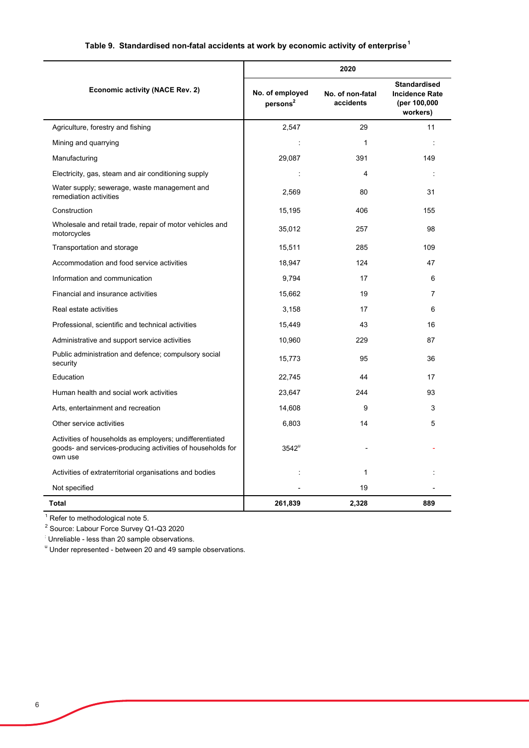# **Table 9. Standardised non-fatal accidents at work by economic activity of enterprise<sup>1</sup>**

|                                                                                                                                  |                                         | 2020                          |                                                                          |
|----------------------------------------------------------------------------------------------------------------------------------|-----------------------------------------|-------------------------------|--------------------------------------------------------------------------|
| <b>Economic activity (NACE Rev. 2)</b>                                                                                           | No. of employed<br>persons <sup>2</sup> | No. of non-fatal<br>accidents | <b>Standardised</b><br><b>Incidence Rate</b><br>(per 100,000<br>workers) |
| Agriculture, forestry and fishing                                                                                                | 2,547                                   | 29                            | 11                                                                       |
| Mining and quarrying                                                                                                             | ÷                                       | $\mathbf{1}$                  | $\ddot{\phantom{a}}$                                                     |
| Manufacturing                                                                                                                    | 29,087                                  | 391                           | 149                                                                      |
| Electricity, gas, steam and air conditioning supply                                                                              | $\ddot{\phantom{a}}$                    | 4                             | $\ddot{\phantom{a}}$                                                     |
| Water supply; sewerage, waste management and<br>remediation activities                                                           | 2,569                                   | 80                            | 31                                                                       |
| Construction                                                                                                                     | 15,195                                  | 406                           | 155                                                                      |
| Wholesale and retail trade, repair of motor vehicles and<br>motorcycles                                                          | 35,012                                  | 257                           | 98                                                                       |
| Transportation and storage                                                                                                       | 15,511                                  | 285                           | 109                                                                      |
| Accommodation and food service activities                                                                                        | 18,947                                  | 124                           | 47                                                                       |
| Information and communication                                                                                                    | 9.794                                   | 17                            | 6                                                                        |
| Financial and insurance activities                                                                                               | 15,662                                  | 19                            | 7                                                                        |
| Real estate activities                                                                                                           | 3,158                                   | 17                            | 6                                                                        |
| Professional, scientific and technical activities                                                                                | 15,449                                  | 43                            | 16                                                                       |
| Administrative and support service activities                                                                                    | 10,960                                  | 229                           | 87                                                                       |
| Public administration and defence; compulsory social<br>security                                                                 | 15,773                                  | 95                            | 36                                                                       |
| Education                                                                                                                        | 22,745                                  | 44                            | 17                                                                       |
| Human health and social work activities                                                                                          | 23,647                                  | 244                           | 93                                                                       |
| Arts, entertainment and recreation                                                                                               | 14,608                                  | 9                             | 3                                                                        |
| Other service activities                                                                                                         | 6,803                                   | 14                            | 5                                                                        |
| Activities of households as employers; undifferentiated<br>goods- and services-producing activities of households for<br>own use | $3542^u$                                |                               |                                                                          |
| Activities of extraterritorial organisations and bodies                                                                          | ÷                                       | $\mathbf{1}$                  |                                                                          |
| Not specified                                                                                                                    |                                         | 19                            |                                                                          |
| Total                                                                                                                            | 261,839                                 | 2,328                         | 889                                                                      |

 $1$  Refer to methodological note 5.

<sup>2</sup> Source: Labour Force Survey Q1-Q3 2020

: Unreliable - less than 20 sample observations.

<sup>u</sup> Under represented - between 20 and 49 sample observations.